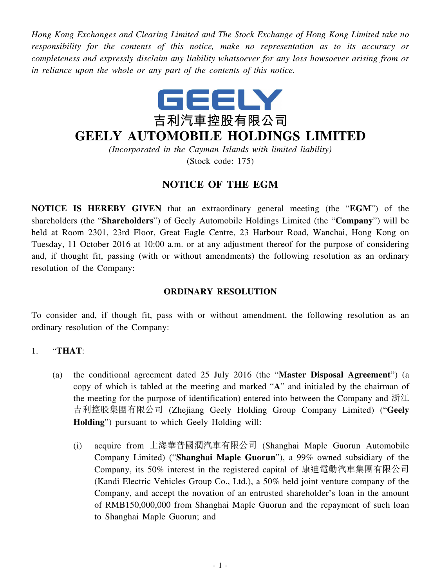*Hong Kong Exchanges and Clearing Limited and The Stock Exchange of Hong Kong Limited take no responsibility for the contents of this notice, make no representation as to its accuracy or completeness and expressly disclaim any liability whatsoever for any loss howsoever arising from or in reliance upon the whole or any part of the contents of this notice.*



## **GEELY AUTOMOBILE HOLDINGS LIMITED**

*(Incorporated in the Cayman Islands with limited liability)*

(Stock code: 175)

## **NOTICE OF THE EGM**

**NOTICE IS HEREBY GIVEN** that an extraordinary general meeting (the "**EGM**") of the shareholders (the "**Shareholders**") of Geely Automobile Holdings Limited (the "**Company**") will be held at Room 2301, 23rd Floor, Great Eagle Centre, 23 Harbour Road, Wanchai, Hong Kong on Tuesday, 11 October 2016 at 10:00 a.m. or at any adjustment thereof for the purpose of considering and, if thought fit, passing (with or without amendments) the following resolution as an ordinary resolution of the Company:

## **ORDINARY RESOLUTION**

To consider and, if though fit, pass with or without amendment, the following resolution as an ordinary resolution of the Company:

## 1. "**THAT**:

- (a) the conditional agreement dated 25 July 2016 (the "**Master Disposal Agreement**") (a copy of which is tabled at the meeting and marked "**A**" and initialed by the chairman of the meeting for the purpose of identification) entered into between the Company and 浙江 吉利控股集團有限公司 (Zhejiang Geely Holding Group Company Limited) ("**Geely Holding**") pursuant to which Geely Holding will:
	- (i) acquire from 上海華普國潤汽車有限公司 (Shanghai Maple Guorun Automobile Company Limited) ("**Shanghai Maple Guorun**"), a 99% owned subsidiary of the Company, its 50% interest in the registered capital of 康迪電動汽車集團有限公司 (Kandi Electric Vehicles Group Co., Ltd.), a 50% held joint venture company of the Company, and accept the novation of an entrusted shareholder's loan in the amount of RMB150,000,000 from Shanghai Maple Guorun and the repayment of such loan to Shanghai Maple Guorun; and